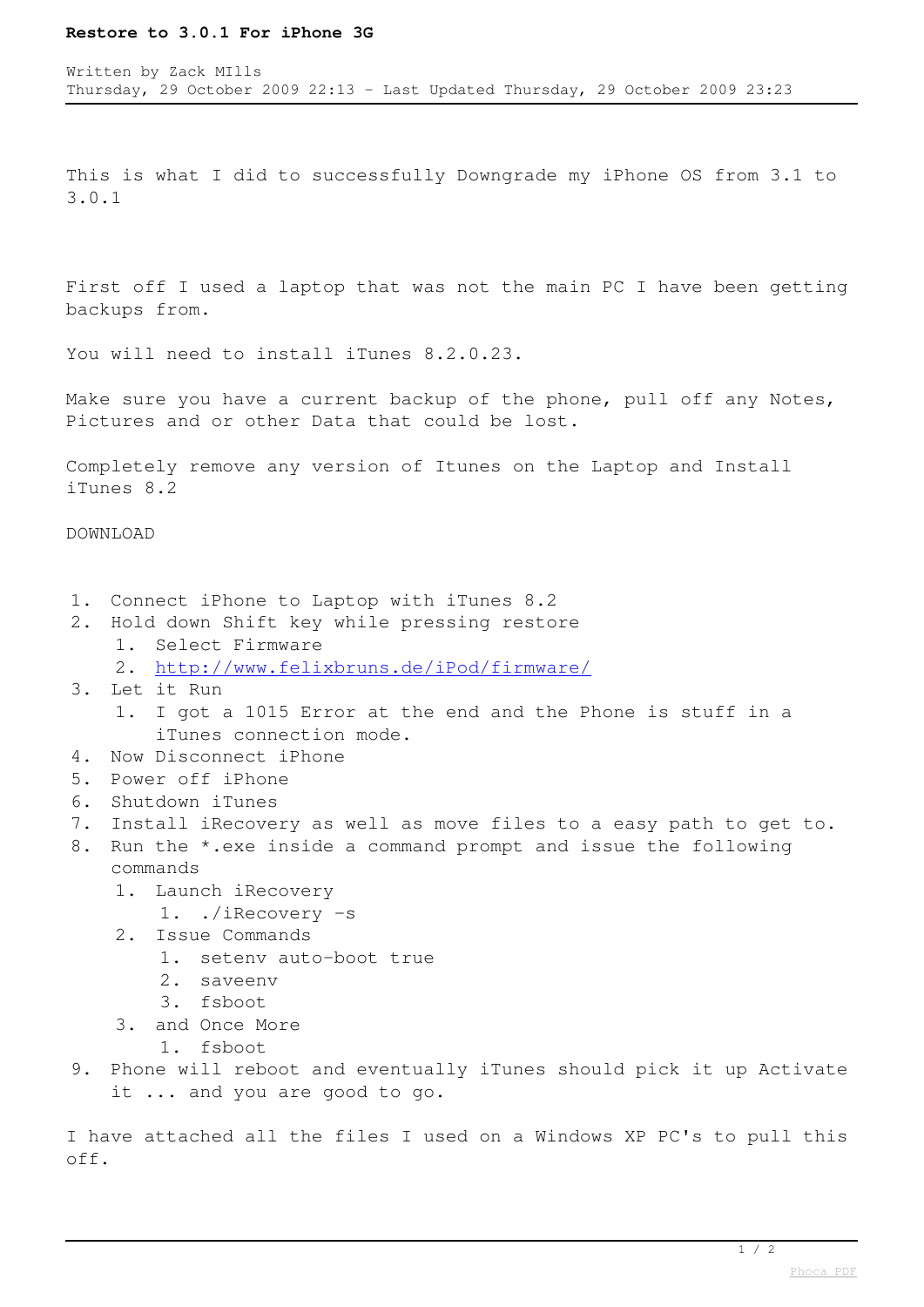## **Restore to 3.0.1 For iPhone 3G**

This is what I did to successfully Downgrade my iPhone OS from 3.1 to 3.0.1

First off I used a laptop that was not the main PC I have been getting backups from.

You will need to install iTunes 8.2.0.23.

Make sure you have a current backup of the phone, pull off any Notes, Pictures and or other Data that could be lost.

Completely remove any version of Itunes on the Laptop and Install iTunes 8.2

DOWNLOAD

- 1. Connect iPhone to Laptop with iTunes 8.2
- 2. Hold down Shift key while pressing restore 1. Select Firmware
	- 2. <http://www.felixbruns.de/iPod/firmware/>
- 3. Let it Run
	- 1. I got a 1015 Error at the end and the Phone is stuff in a iTunes connection mode.
- 4. Now Disconnect iPhone
- 5. Power off iPhone
- 6. Shutdown iTunes
- 7. Install iRecovery as well as move files to a easy path to get to.
- 8. Run the \*.exe inside a command prompt and issue the following commands
	- 1. Launch iRecovery
		- 1. ./iRecovery -s
	- 2. Issue Commands
		- 1. setenv auto-boot true
		- 2. saveenv
		- 3. fsboot
	- 3. and Once More
		- 1. fsboot
- 9. Phone will reboot and eventually iTunes should pick it up Activate it ... and you are good to go.

I have attached all the files I used on a Windows XP PC's to pull this off.